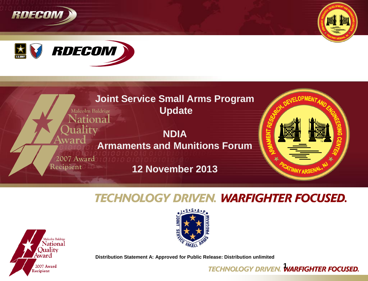







## **TECHNOLOGY DRIVEN. WARFIGHTER FOCUSED.**





**Distribution Statement A: Approved for Public Release: Distribution unlimited**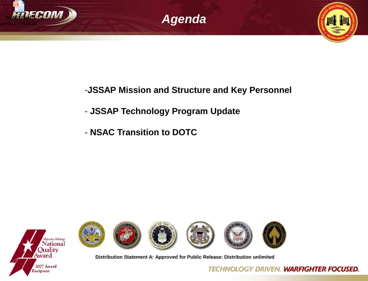



## -**JSSAP Mission and Structure and Key Personnel**

### - **JSSAP Technology Program Update**

- **NSAC Transition to DOTC**





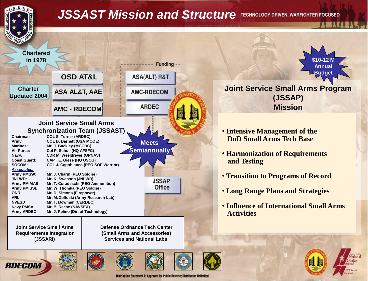

# *JSSAST Mission and Structure*



**Joint Service Small Arms Requirements Integration (JSSARI)**

 **Defense Ordnance Tech Center (Small Arms and Accessories) Services and National Labs**









Distribution Statement A: Approved for Public Release; Distribution Unlimited



#### **Joint Service Small Arms Program (JSSAP) Mission**

- **Intensive Management of the DoD Small Arms Tech Base**
- **Harmonization of Requirements and Testing**
- **Transition to Programs of Record**
- **Long Range Plans and Strategies**
- **Influence of International Small Arms Activities**

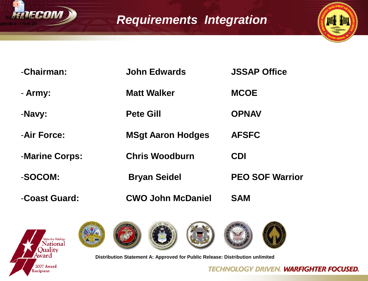

# *Requirements Integration*



| -Chairman:     | <b>John Edwards</b>      | <b>JSSAP Office</b>    |
|----------------|--------------------------|------------------------|
| - Army:        | <b>Matt Walker</b>       | <b>MCOE</b>            |
| -Navy:         | <b>Pete Gill</b>         | <b>OPNAV</b>           |
| -Air Force:    | <b>MSgt Aaron Hodges</b> | <b>AFSFC</b>           |
| -Marine Corps: | <b>Chris Woodburn</b>    | <b>CDI</b>             |
| -SOCOM:        | <b>Bryan Seidel</b>      | <b>PEO SOF Warrior</b> |
| -Coast Guard:  | <b>CWO John McDaniel</b> | <b>SAM</b>             |











**Distribution Statement A: Approved for Public Release: Distribution unlimited**